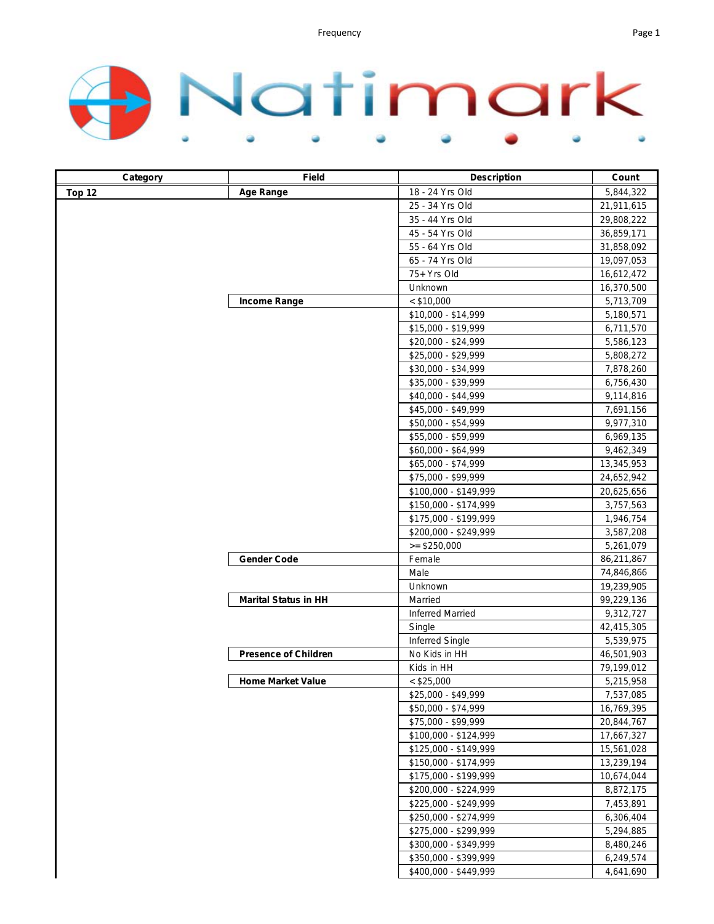

| Category | Field                       | <b>Description</b>      | Count      |
|----------|-----------------------------|-------------------------|------------|
| Top 12   | <b>Age Range</b>            | 18 - 24 Yrs Old         | 5,844,322  |
|          |                             | 25 - 34 Yrs Old         | 21,911,615 |
|          |                             | 35 - 44 Yrs Old         | 29,808,222 |
|          |                             | 45 - 54 Yrs Old         | 36,859,171 |
|          |                             | 55 - 64 Yrs Old         | 31,858,092 |
|          |                             | 65 - 74 Yrs Old         | 19,097,053 |
|          |                             | 75+ Yrs Old             | 16,612,472 |
|          |                             | Unknown                 | 16,370,500 |
|          | Income Range                | $<$ \$10,000            | 5,713,709  |
|          |                             | \$10,000 - \$14,999     | 5,180,571  |
|          |                             | \$15,000 - \$19,999     | 6,711,570  |
|          |                             | \$20,000 - \$24,999     | 5,586,123  |
|          |                             | \$25,000 - \$29,999     | 5,808,272  |
|          |                             | \$30,000 - \$34,999     | 7,878,260  |
|          |                             | \$35,000 - \$39,999     | 6,756,430  |
|          |                             | \$40,000 - \$44,999     | 9,114,816  |
|          |                             | \$45,000 - \$49,999     | 7,691,156  |
|          |                             | \$50,000 - \$54,999     | 9,977,310  |
|          |                             | \$55,000 - \$59,999     | 6,969,135  |
|          |                             | \$60,000 - \$64,999     | 9,462,349  |
|          |                             | \$65,000 - \$74,999     | 13,345,953 |
|          |                             | \$75,000 - \$99,999     | 24,652,942 |
|          |                             | \$100,000 - \$149,999   | 20,625,656 |
|          |                             | \$150,000 - \$174,999   | 3,757,563  |
|          |                             | \$175,000 - \$199,999   | 1,946,754  |
|          |                             | \$200,000 - \$249,999   | 3,587,208  |
|          |                             | $>= $250,000$           | 5,261,079  |
|          | <b>Gender Code</b>          | Female                  | 86,211,867 |
|          |                             | Male                    | 74,846,866 |
|          |                             | Unknown                 | 19,239,905 |
|          | <b>Marital Status in HH</b> | Married                 | 99,229,136 |
|          |                             | <b>Inferred Married</b> | 9,312,727  |
|          |                             | Single                  | 42,415,305 |
|          |                             | <b>Inferred Single</b>  | 5,539,975  |
|          | <b>Presence of Children</b> | No Kids in HH           | 46,501,903 |
|          |                             | Kids in HH              | 79,199,012 |
|          | <b>Home Market Value</b>    | $<$ \$25,000            | 5,215,958  |
|          |                             | \$25,000 - \$49,999     | 7,537,085  |
|          |                             | \$50,000 - \$74,999     | 16,769,395 |
|          |                             | \$75,000 - \$99,999     | 20,844,767 |
|          |                             | \$100,000 - \$124,999   | 17,667,327 |
|          |                             | \$125,000 - \$149,999   | 15,561,028 |
|          |                             | \$150,000 - \$174,999   | 13,239,194 |
|          |                             | \$175,000 - \$199,999   | 10,674,044 |
|          |                             | \$200,000 - \$224,999   | 8,872,175  |
|          |                             | \$225,000 - \$249,999   | 7,453,891  |
|          |                             | \$250,000 - \$274,999   | 6,306,404  |
|          |                             | \$275,000 - \$299,999   | 5,294,885  |
|          |                             | \$300,000 - \$349,999   | 8,480,246  |
|          |                             | \$350,000 - \$399,999   | 6,249,574  |
|          |                             | \$400,000 - \$449,999   | 4,641,690  |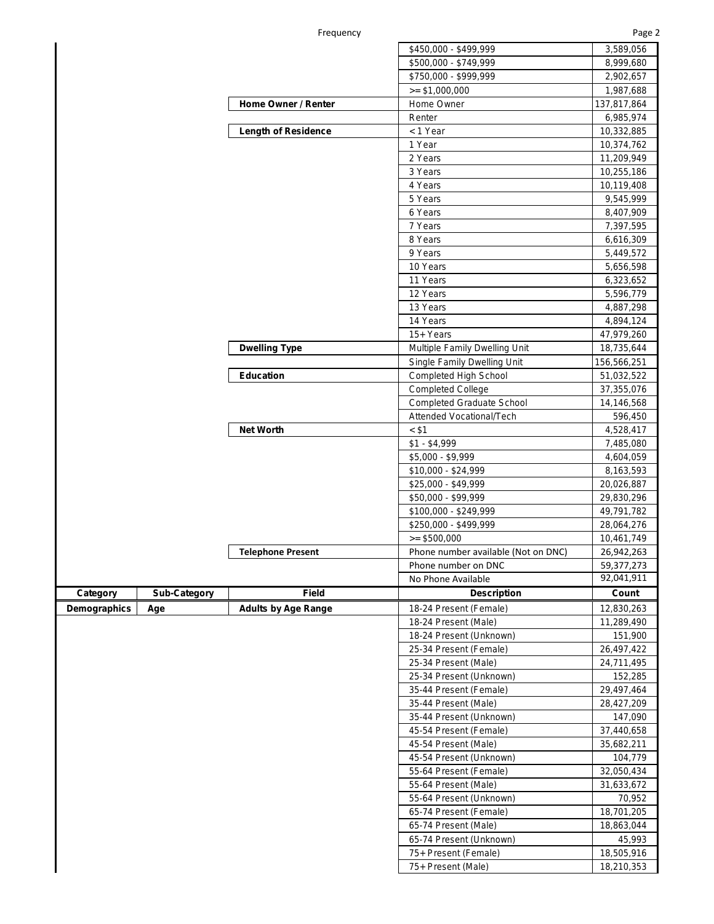|             |                     |                            | \$450,000 - \$499,999                                | 3,589,056   |
|-------------|---------------------|----------------------------|------------------------------------------------------|-------------|
|             |                     |                            | \$500,000 - \$749,999                                | 8,999,680   |
|             |                     |                            | \$750,000 - \$999,999                                | 2,902,657   |
|             |                     |                            | $\ge$ \$1,000,000                                    | 1,987,688   |
|             |                     | Home Owner / Renter        | Home Owner                                           | 137,817,864 |
|             |                     |                            | Renter                                               | 6,985,974   |
|             |                     | <b>Length of Residence</b> | < 1 Year                                             | 10,332,885  |
|             |                     |                            | 1 Year                                               | 10,374,762  |
|             |                     |                            | 2 Years                                              | 11,209,949  |
|             |                     |                            | 3 Years                                              | 10,255,186  |
|             |                     |                            | 4 Years                                              | 10,119,408  |
|             |                     |                            | 5 Years                                              | 9,545,999   |
|             |                     |                            | 6 Years                                              | 8,407,909   |
|             |                     |                            | 7 Years                                              | 7,397,595   |
|             |                     |                            | 8 Years                                              | 6,616,309   |
|             |                     |                            | 9 Years                                              | 5,449,572   |
|             |                     |                            | 10 Years                                             | 5,656,598   |
|             |                     |                            | 11 Years                                             | 6,323,652   |
|             |                     |                            | 12 Years                                             | 5,596,779   |
|             |                     |                            | 13 Years                                             | 4,887,298   |
|             |                     |                            | 14 Years                                             | 4,894,124   |
|             |                     |                            | 15+ Years                                            | 47,979,260  |
|             |                     |                            | Multiple Family Dwelling Unit                        |             |
|             |                     | <b>Dwelling Type</b>       |                                                      | 18,735,644  |
|             |                     | <b>Education</b>           | Single Family Dwelling Unit<br>Completed High School | 156,566,251 |
|             |                     |                            |                                                      | 51,032,522  |
|             |                     |                            | <b>Completed College</b>                             | 37,355,076  |
|             |                     |                            | <b>Completed Graduate School</b>                     | 14,146,568  |
|             |                     |                            | Attended Vocational/Tech                             | 596,450     |
|             |                     | <b>Net Worth</b>           | < \$1                                                | 4,528,417   |
|             |                     |                            | $$1 - $4,999$                                        | 7,485,080   |
|             |                     |                            | $$5,000 - $9,999$                                    | 4,604,059   |
|             |                     |                            | \$10,000 - \$24,999                                  | 8,163,593   |
|             |                     |                            | \$25,000 - \$49,999                                  | 20,026,887  |
|             |                     |                            | \$50,000 - \$99,999                                  | 29,830,296  |
|             |                     |                            | \$100,000 - \$249,999                                | 49,791,782  |
|             |                     |                            | \$250,000 - \$499,999                                | 28,064,276  |
|             |                     |                            | $>= $500,000$                                        | 10,461,749  |
|             |                     | <b>Telephone Present</b>   | Phone number available (Not on DNC)                  | 26,942,263  |
|             |                     |                            | Phone number on DNC                                  | 59,377,273  |
|             |                     |                            | No Phone Available                                   | 92,041,911  |
| Category    | <b>Sub-Category</b> | <b>Field</b>               | <b>Description</b>                                   | Count       |
| mographics! | Age                 | <b>Adults by Age Range</b> | 18-24 Present (Female)                               | 12,830,263  |
|             |                     |                            | 18-24 Present (Male)                                 | 11,289,490  |
|             |                     |                            | 18-24 Present (Unknown)                              | 151,900     |
|             |                     |                            | 25-34 Present (Female)                               | 26,497,422  |
|             |                     |                            | 25-34 Present (Male)                                 | 24,711,495  |
|             |                     |                            | 25-34 Present (Unknown)                              | 152,285     |
|             |                     |                            | 35-44 Present (Female)                               | 29,497,464  |
|             |                     |                            | 35-44 Present (Male)                                 | 28,427,209  |
|             |                     |                            | 35-44 Present (Unknown)                              | 147,090     |
|             |                     |                            | 45-54 Present (Female)                               | 37,440,658  |
|             |                     |                            | 45-54 Present (Male)                                 | 35,682,211  |
|             |                     |                            | 45-54 Present (Unknown)                              | 104,779     |
|             |                     |                            | 55-64 Present (Female)                               | 32,050,434  |
|             |                     |                            | 55-64 Present (Male)                                 | 31,633,672  |
|             |                     |                            | 55-64 Present (Unknown)                              | 70,952      |
|             |                     |                            | 65-74 Present (Female)                               | 18,701,205  |
|             |                     |                            | 65-74 Present (Male)                                 | 18,863,044  |
|             |                     |                            | 65-74 Present (Unknown)                              | 45,993      |
|             |                     |                            | 75+ Present (Female)                                 | 18,505,916  |
|             |                     |                            | 75+ Present (Male)                                   | 18,210,353  |

**Demographics**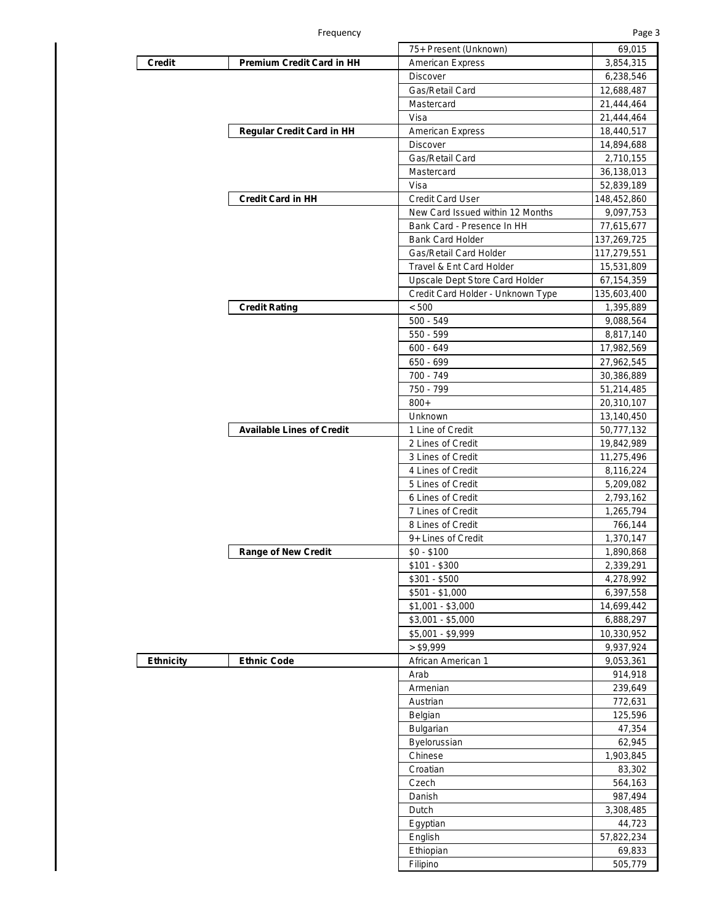Г

|                  |                                  | 75+ Present (Unknown)             | 69,015      |
|------------------|----------------------------------|-----------------------------------|-------------|
| Credit           | <b>Premium Credit Card in HH</b> | <b>American Express</b>           | 3,854,315   |
|                  |                                  | <b>Discover</b>                   | 6,238,546   |
|                  |                                  | Gas/Retail Card                   | 12,688,487  |
|                  |                                  | Mastercard                        | 21,444,464  |
|                  |                                  | Visa                              | 21,444,464  |
|                  | <b>Regular Credit Card in HH</b> | American Express                  | 18,440,517  |
|                  |                                  | <b>Discover</b>                   | 14,894,688  |
|                  |                                  | Gas/Retail Card                   | 2,710,155   |
|                  |                                  | Mastercard                        | 36,138,013  |
|                  |                                  | Visa                              | 52,839,189  |
|                  | <b>Credit Card in HH</b>         | <b>Credit Card User</b>           | 148,452,860 |
|                  |                                  | New Card Issued within 12 Months  | 9,097,753   |
|                  |                                  | Bank Card - Presence In HH        | 77,615,677  |
|                  |                                  | <b>Bank Card Holder</b>           | 137,269,725 |
|                  |                                  | Gas/Retail Card Holder            | 117,279,551 |
|                  |                                  | Travel & Ent Card Holder          | 15,531,809  |
|                  |                                  | Upscale Dept Store Card Holder    | 67,154,359  |
|                  |                                  | Credit Card Holder - Unknown Type | 135,603,400 |
|                  | <b>Credit Rating</b>             | < 500                             | 1,395,889   |
|                  |                                  | $500 - 549$                       | 9,088,564   |
|                  |                                  | 550 - 599                         | 8,817,140   |
|                  |                                  | $600 - 649$                       | 17,982,569  |
|                  |                                  | 650 - 699                         |             |
|                  |                                  | 700 - 749                         | 27,962,545  |
|                  |                                  | 750 - 799                         | 30,386,889  |
|                  |                                  | $800+$                            | 51,214,485  |
|                  |                                  | Unknown                           | 20,310,107  |
|                  | <b>Available Lines of Credit</b> | 1 Line of Credit                  | 13,140,450  |
|                  |                                  | 2 Lines of Credit                 | 50,777,132  |
|                  |                                  | 3 Lines of Credit                 | 19,842,989  |
|                  |                                  |                                   | 11,275,496  |
|                  |                                  | 4 Lines of Credit                 | 8,116,224   |
|                  |                                  | 5 Lines of Credit                 | 5,209,082   |
|                  |                                  | 6 Lines of Credit                 | 2,793,162   |
|                  |                                  | 7 Lines of Credit                 | 1,265,794   |
|                  |                                  | 8 Lines of Credit                 | 766,144     |
|                  |                                  | 9+ Lines of Credit                | 1,370,147   |
|                  | <b>Range of New Credit</b>       | \$0 - \$100                       | 1,890,868   |
|                  |                                  | $$101 - $300$                     | 2,339,291   |
|                  |                                  | $$301 - $500$                     | 4,278,992   |
|                  |                                  | $$501 - $1,000$                   | 6,397,558   |
|                  |                                  | $$1,001 - $3,000$                 | 14,699,442  |
|                  |                                  | $$3,001 - $5,000$                 | 6,888,297   |
|                  |                                  | $$5,001 - $9,999$                 | 10,330,952  |
|                  |                                  | > \$9,999                         | 9,937,924   |
| <b>Ethnicity</b> | <b>Ethnic Code</b>               | African American 1                | 9,053,361   |
|                  |                                  | Arab                              | 914,918     |
|                  |                                  | Armenian                          | 239,649     |
|                  |                                  | Austrian                          | 772,631     |
|                  |                                  | Belgian                           | 125,596     |
|                  |                                  | <b>Bulgarian</b>                  | 47,354      |
|                  |                                  | <b>Byelorussian</b>               | 62,945      |
|                  |                                  | Chinese                           | 1,903,845   |
|                  |                                  | Croatian                          | 83,302      |
|                  |                                  | Czech                             | 564,163     |
|                  |                                  | Danish                            | 987,494     |
|                  |                                  | Dutch                             | 3,308,485   |
|                  |                                  | Egyptian                          | 44,723      |
|                  |                                  | English                           | 57,822,234  |
|                  |                                  | Ethiopian                         | 69,833      |
|                  |                                  | Filipino                          | 505,779     |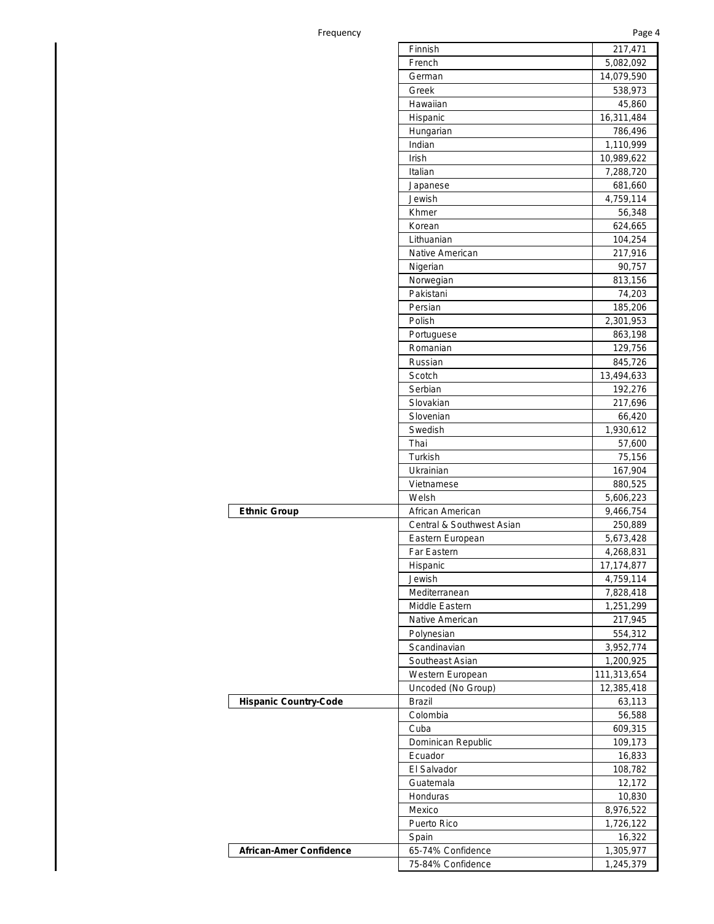## Frequency **Page 4**

|                                | Finnish                   | 217,471     |
|--------------------------------|---------------------------|-------------|
|                                | French                    | 5,082,092   |
|                                | German                    | 14,079,590  |
|                                | Greek                     | 538,973     |
|                                | Hawaiian                  | 45,860      |
|                                | Hispanic                  | 16,311,484  |
|                                | Hungarian                 | 786,496     |
|                                | Indian                    | 1,110,999   |
|                                | Irish                     | 10,989,622  |
|                                | Italian                   | 7,288,720   |
|                                |                           |             |
|                                | Japanese                  | 681,660     |
|                                | Jewish                    | 4,759,114   |
|                                | Khmer                     | 56,348      |
|                                | Korean                    | 624,665     |
|                                | Lithuanian                | 104,254     |
|                                | Native American           | 217,916     |
|                                | Nigerian                  | 90,757      |
|                                | Norwegian                 | 813,156     |
|                                | Pakistani                 | 74,203      |
|                                | Persian                   | 185,206     |
|                                | Polish                    | 2,301,953   |
|                                | Portuguese                | 863,198     |
|                                | Romanian                  | 129,756     |
|                                | Russian                   | 845,726     |
|                                | Scotch                    | 13,494,633  |
|                                | Serbian                   | 192,276     |
|                                | Slovakian                 | 217,696     |
|                                | Slovenian                 | 66,420      |
|                                | Swedish                   | 1,930,612   |
|                                | Thai                      | 57,600      |
|                                | Turkish                   | 75,156      |
|                                | Ukrainian                 | 167,904     |
|                                | Vietnamese                | 880,525     |
|                                | Welsh                     | 5,606,223   |
| <b>Ethnic Group</b>            | African American          | 9,466,754   |
|                                | Central & Southwest Asian | 250,889     |
|                                | Eastern European          | 5,673,428   |
|                                | Far Eastern               |             |
|                                | Hispanic                  | 4,268,831   |
|                                |                           | 17,174,877  |
|                                | Jewish                    | 4,759,114   |
|                                | Mediterranean             | 7,828,418   |
|                                | Middle Eastern            | 1,251,299   |
|                                | Native American           | 217,945     |
|                                | Polynesian                | 554,312     |
|                                | Scandinavian              | 3,952,774   |
|                                | Southeast Asian           | 1,200,925   |
|                                | Western European          | 111,313,654 |
|                                | Uncoded (No Group)        | 12,385,418  |
| <b>Hispanic Country-Code</b>   | <b>Brazil</b>             | 63,113      |
|                                | Colombia                  | 56,588      |
|                                | Cuba                      | 609,315     |
|                                | Dominican Republic        | 109,173     |
|                                | Ecuador                   | 16,833      |
|                                | El Salvador               | 108,782     |
|                                | Guatemala                 | 12,172      |
|                                | Honduras                  | 10,830      |
|                                | Mexico                    | 8,976,522   |
|                                | Puerto Rico               | 1,726,122   |
|                                | Spain                     | 16,322      |
|                                |                           |             |
| <b>African-Amer Confidence</b> | 65-74% Confidence         | 1,305,977   |
|                                | 75-84% Confidence         | 1,245,379   |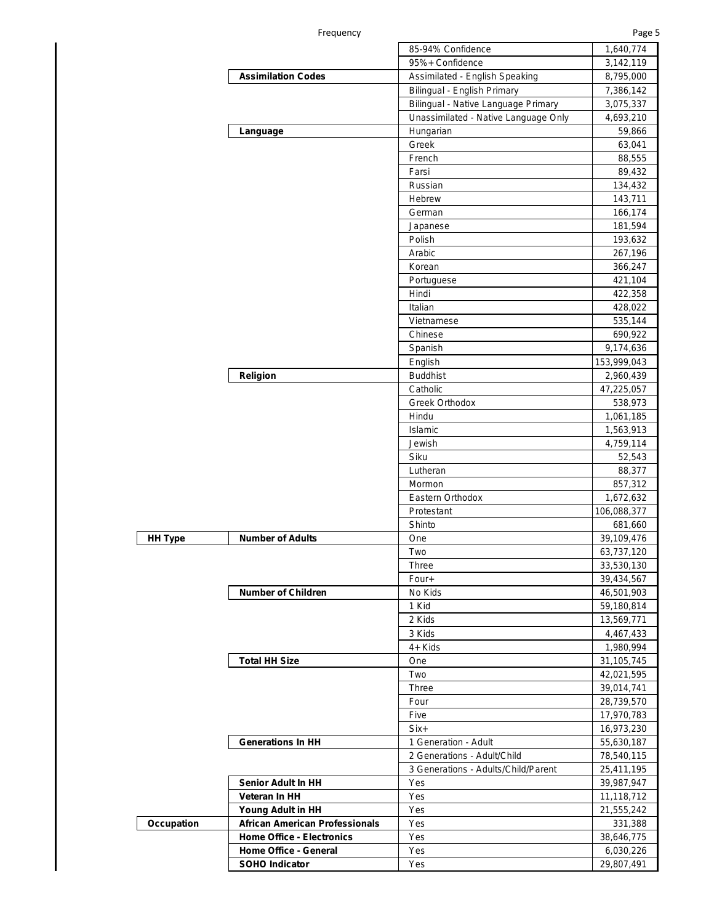|  | -requency |
|--|-----------|
|  |           |

|                | Frequency                             |                                      | Page 5                   |
|----------------|---------------------------------------|--------------------------------------|--------------------------|
|                |                                       | 85-94% Confidence                    | 1,640,774                |
|                |                                       | 95%+ Confidence                      | 3,142,119                |
|                | <b>Assimilation Codes</b>             | Assimilated - English Speaking       | 8,795,000                |
|                |                                       | Bilingual - English Primary          | 7,386,142                |
|                |                                       | Bilingual - Native Language Primary  | 3,075,337                |
|                |                                       | Unassimilated - Native Language Only | 4,693,210                |
|                | Language                              | Hungarian                            | 59,866                   |
|                |                                       | Greek                                | 63,041                   |
|                |                                       | French                               | 88,555                   |
|                |                                       | Farsi                                | 89,432                   |
|                |                                       | Russian                              | 134,432                  |
|                |                                       | Hebrew                               | 143,711                  |
|                |                                       | German                               | 166,174                  |
|                |                                       | Japanese                             | 181,594                  |
|                |                                       | Polish                               | 193,632                  |
|                |                                       | Arabic                               | 267,196                  |
|                |                                       | Korean                               | 366,247<br>421,104       |
|                |                                       | Portuguese<br>Hindi                  | 422,358                  |
|                |                                       | Italian                              | 428,022                  |
|                |                                       | Vietnamese                           | 535,144                  |
|                |                                       | Chinese                              | 690,922                  |
|                |                                       | Spanish                              | 9,174,636                |
|                |                                       | English                              | 153,999,043              |
|                | Religion                              | <b>Buddhist</b>                      | 2,960,439                |
|                |                                       | Catholic                             | 47,225,057               |
|                |                                       | Greek Orthodox                       | 538,973                  |
|                |                                       | Hindu                                | 1,061,185                |
|                |                                       | Islamic                              | 1,563,913                |
|                |                                       | Jewish                               | 4,759,114                |
|                |                                       | Siku                                 | 52,543                   |
|                |                                       | Lutheran                             | 88,377                   |
|                |                                       | Mormon                               | 857,312                  |
|                |                                       | Eastern Orthodox                     | 1,672,632                |
|                |                                       | Protestant                           | 106,088,377              |
|                |                                       | Shinto                               | 681,660                  |
| <b>HH Type</b> | <b>Number of Adults</b>               | One                                  | 39,109,476               |
|                |                                       | Two                                  | 63,737,120               |
|                |                                       | Three                                | 33,530,130               |
|                |                                       | Four+                                | 39,434,567               |
|                | <b>Number of Children</b>             | No Kids                              | 46,501,903               |
|                |                                       | 1 Kid                                | 59,180,814               |
|                |                                       | 2 Kids                               | 13,569,771               |
|                |                                       | 3 Kids                               | 4,467,433                |
|                |                                       | 4+ Kids                              | 1,980,994                |
|                | <b>Total HH Size</b>                  | One                                  | 31,105,745               |
|                |                                       | Two                                  | 42,021,595               |
|                |                                       | Three                                | 39,014,741               |
|                |                                       | Four                                 | 28,739,570               |
|                |                                       | Five                                 | 17,970,783               |
|                |                                       | Six+                                 | 16,973,230               |
|                | <b>Generations In HH</b>              | 1 Generation - Adult                 | 55,630,187               |
|                |                                       | 2 Generations - Adult/Child          | 78,540,115               |
|                | Senior Adult In HH                    | 3 Generations - Adults/Child/Parent  | 25,411,195               |
|                | Veteran In HH                         | Yes                                  | 39,987,947               |
|                | Young Adult in HH                     | Yes<br>Yes                           | 11,118,712<br>21,555,242 |
| Occupation     | <b>African American Professionals</b> | Yes                                  | 331,388                  |
|                | <b>Home Office - Electronics</b>      | Yes                                  | 38,646,775               |
|                | Home Office - General                 | Yes                                  | 6,030,226                |
|                | <b>SOHO Indicator</b>                 | Yes                                  | 29,807,491               |
|                |                                       |                                      |                          |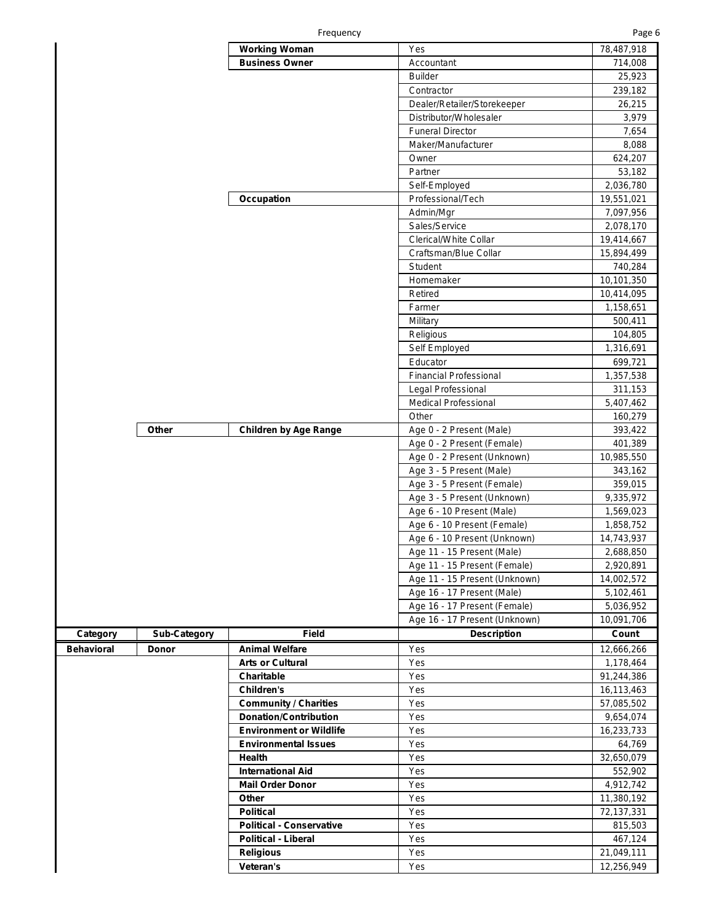|                   |                     | <b>Working Woman</b>            | Yes                           | 78,487,918 |
|-------------------|---------------------|---------------------------------|-------------------------------|------------|
|                   |                     | <b>Business Owner</b>           | Accountant                    | 714,008    |
|                   |                     |                                 | <b>Builder</b>                | 25,923     |
|                   |                     |                                 | Contractor                    | 239,182    |
|                   |                     |                                 | Dealer/Retailer/Storekeeper   | 26,215     |
|                   |                     |                                 | Distributor/Wholesaler        | 3,979      |
|                   |                     |                                 | <b>Funeral Director</b>       | 7,654      |
|                   |                     |                                 | Maker/Manufacturer            | 8,088      |
|                   |                     |                                 | Owner                         | 624,207    |
|                   |                     |                                 | Partner                       | 53,182     |
|                   |                     |                                 | Self-Employed                 | 2,036,780  |
|                   |                     | Occupation                      | Professional/Tech             | 19,551,021 |
|                   |                     |                                 | Admin/Mgr                     | 7,097,956  |
|                   |                     |                                 | Sales/Service                 | 2,078,170  |
|                   |                     |                                 | Clerical/White Collar         |            |
|                   |                     |                                 |                               | 19,414,667 |
|                   |                     |                                 | Craftsman/Blue Collar         | 15,894,499 |
|                   |                     |                                 | Student                       | 740,284    |
|                   |                     |                                 | Homemaker                     | 10,101,350 |
|                   |                     |                                 | Retired                       | 10,414,095 |
|                   |                     |                                 | Farmer                        | 1,158,651  |
|                   |                     |                                 | Military                      | 500,411    |
|                   |                     |                                 | Religious                     | 104,805    |
|                   |                     |                                 | Self Employed                 | 1,316,691  |
|                   |                     |                                 | Educator                      | 699,721    |
|                   |                     |                                 | <b>Financial Professional</b> | 1,357,538  |
|                   |                     |                                 | Legal Professional            | 311,153    |
|                   |                     |                                 | <b>Medical Professional</b>   | 5,407,462  |
|                   |                     |                                 | Other                         | 160,279    |
|                   | Other               | <b>Children by Age Range</b>    | Age 0 - 2 Present (Male)      | 393,422    |
|                   |                     |                                 | Age 0 - 2 Present (Female)    | 401,389    |
|                   |                     |                                 | Age 0 - 2 Present (Unknown)   | 10,985,550 |
|                   |                     |                                 | Age 3 - 5 Present (Male)      | 343,162    |
|                   |                     |                                 | Age 3 - 5 Present (Female)    | 359,015    |
|                   |                     |                                 | Age 3 - 5 Present (Unknown)   | 9,335,972  |
|                   |                     |                                 | Age 6 - 10 Present (Male)     | 1,569,023  |
|                   |                     |                                 | Age 6 - 10 Present (Female)   | 1,858,752  |
|                   |                     |                                 | Age 6 - 10 Present (Unknown)  | 14,743,937 |
|                   |                     |                                 | Age 11 - 15 Present (Male)    | 2,688,850  |
|                   |                     |                                 | Age 11 - 15 Present (Female)  | 2,920,891  |
|                   |                     |                                 | Age 11 - 15 Present (Unknown) | 14,002,572 |
|                   |                     |                                 |                               |            |
|                   |                     |                                 | Age 16 - 17 Present (Male)    | 5,102,461  |
|                   |                     |                                 | Age 16 - 17 Present (Female)  | 5,036,952  |
|                   |                     |                                 | Age 16 - 17 Present (Unknown) | 10,091,706 |
| Category          | <b>Sub-Category</b> | Field                           | <b>Description</b>            | Count      |
| <b>Behavioral</b> | Donor               | <b>Animal Welfare</b>           | Yes                           | 12,666,266 |
|                   |                     | <b>Arts or Cultural</b>         | Yes                           | 1,178,464  |
|                   |                     | Charitable                      | Yes                           | 91,244,386 |
|                   |                     | Children's                      | Yes                           | 16,113,463 |
|                   |                     | <b>Community / Charities</b>    | Yes                           | 57,085,502 |
|                   |                     | <b>Donation/Contribution</b>    | Yes                           | 9,654,074  |
|                   |                     | <b>Environment or Wildlife</b>  | Yes                           | 16,233,733 |
|                   |                     | <b>Environmental Issues</b>     | Yes                           | 64,769     |
|                   |                     | Health                          | Yes                           | 32,650,079 |
|                   |                     | <b>International Aid</b>        | Yes                           | 552,902    |
|                   |                     | <b>Mail Order Donor</b>         | Yes                           | 4,912,742  |
|                   |                     | Other                           | Yes                           | 11,380,192 |
|                   |                     | <b>Political</b>                | Yes                           | 72,137,331 |
|                   |                     | <b>Political - Conservative</b> | Yes                           | 815,503    |
|                   |                     | <b>Political - Liberal</b>      | Yes                           | 467,124    |
|                   |                     | <b>Religious</b>                | Yes                           | 21,049,111 |
|                   |                     | Veteran's                       | Yes                           | 12,256,949 |
|                   |                     |                                 |                               |            |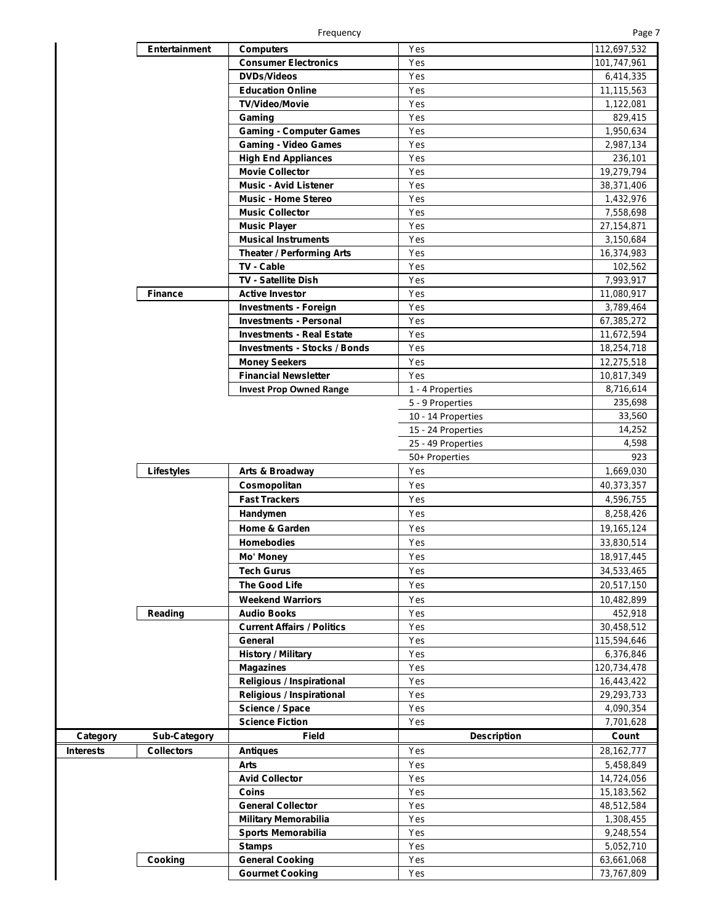|--|--|--|--|--|

|                  | Entertainment       | <b>Computers</b>                                 | Yes                | 112,697,532              |
|------------------|---------------------|--------------------------------------------------|--------------------|--------------------------|
|                  |                     | <b>Consumer Electronics</b>                      | Yes                | 101,747,961              |
|                  |                     | <b>DVDs/Videos</b>                               | Yes                | 6,414,335                |
|                  |                     | <b>Education Online</b>                          | Yes                | 11,115,563               |
|                  |                     | <b>TV/Video/Movie</b>                            | Yes                |                          |
|                  |                     |                                                  |                    | 1,122,081                |
|                  |                     | Gaming                                           | Yes                | 829,415                  |
|                  |                     | <b>Gaming - Computer Games</b>                   | Yes                | 1,950,634                |
|                  |                     | <b>Gaming - Video Games</b>                      | Yes                | 2,987,134                |
|                  |                     | <b>High End Appliances</b>                       | Yes                | 236,101                  |
|                  |                     | <b>Movie Collector</b>                           | Yes                | 19,279,794               |
|                  |                     | <b>Music - Avid Listener</b>                     | Yes                | 38,371,406               |
|                  |                     | <b>Music - Home Stereo</b>                       | Yes                | 1,432,976                |
|                  |                     | <b>Music Collector</b>                           | Yes                | 7,558,698                |
|                  |                     | <b>Music Player</b>                              | Yes                | 27, 154, 871             |
|                  |                     | <b>Musical Instruments</b>                       | Yes                | 3,150,684                |
|                  |                     | <b>Theater / Performing Arts</b>                 | Yes                | 16,374,983               |
|                  |                     | TV - Cable                                       | Yes                | 102,562                  |
|                  |                     | <b>TV - Satellite Dish</b>                       |                    |                          |
|                  |                     |                                                  | Yes                | 7,993,917                |
|                  | <b>Finance</b>      | <b>Active Investor</b>                           | Yes                | 11,080,917               |
|                  |                     | <b>Investments - Foreign</b>                     | Yes                | 3,789,464                |
|                  |                     | <b>Investments - Personal</b>                    | Yes                | 67,385,272               |
|                  |                     | <b>Investments - Real Estate</b>                 | Yes                | 11,672,594               |
|                  |                     | <b>Investments - Stocks / Bonds</b>              | Yes                | 18,254,718               |
|                  |                     | <b>Money Seekers</b>                             | Yes                | 12,275,518               |
|                  |                     | <b>Financial Newsletter</b>                      | Yes                | 10,817,349               |
|                  |                     | <b>Invest Prop Owned Range</b>                   | 1 - 4 Properties   | 8,716,614                |
|                  |                     |                                                  | 5 - 9 Properties   | 235,698                  |
|                  |                     |                                                  | 10 - 14 Properties | 33,560                   |
|                  |                     |                                                  | 15 - 24 Properties | 14,252                   |
|                  |                     |                                                  | 25 - 49 Properties | 4,598                    |
|                  |                     |                                                  | 50+ Properties     | 923                      |
|                  |                     |                                                  |                    |                          |
|                  | Lifestyles          | Arts & Broadway                                  | Yes                | 1,669,030                |
|                  |                     | Cosmopolitan                                     | Yes                | 40,373,357               |
|                  |                     | <b>Fast Trackers</b>                             | Yes                | 4,596,755                |
|                  |                     |                                                  |                    |                          |
|                  |                     | Handymen                                         | Yes                | 8,258,426                |
|                  |                     | Home & Garden                                    | Yes                | 19,165,124               |
|                  |                     | <b>Homebodies</b>                                | Yes                | 33,830,514               |
|                  |                     |                                                  |                    |                          |
|                  |                     | Mo' Money                                        | Yes                | 18,917,445               |
|                  |                     | <b>Tech Gurus</b>                                | Yes                | 34,533,465               |
|                  |                     | <b>The Good Life</b>                             | Yes                | 20,517,150               |
|                  |                     | <b>Weekend Warriors</b>                          | Yes                | 10,482,899               |
|                  | Reading             | <b>Audio Books</b>                               | Yes                | 452,918                  |
|                  |                     | <b>Current Affairs / Politics</b>                | Yes                | 30,458,512               |
|                  |                     | General                                          | Yes                | 115,594,646              |
|                  |                     | <b>History / Military</b>                        | Yes                | 6,376,846                |
|                  |                     | <b>Magazines</b>                                 | Yes                | 120,734,478              |
|                  |                     | Religious / Inspirational                        | Yes                | 16,443,422               |
|                  |                     | <b>Religious / Inspirational</b>                 | Yes                | 29,293,733               |
|                  |                     | Science / Space                                  | Yes                | 4,090,354                |
|                  |                     | <b>Science Fiction</b>                           | Yes                | 7,701,628                |
| Category         |                     | <b>Field</b>                                     | <b>Description</b> | Count                    |
|                  | <b>Sub-Category</b> |                                                  |                    |                          |
| <b>Interests</b> | <b>Collectors</b>   | <b>Antiques</b>                                  | Yes                | 28, 162, 777             |
|                  |                     | Arts                                             | Yes                | 5,458,849                |
|                  |                     | <b>Avid Collector</b>                            | Yes                | 14,724,056               |
|                  |                     | Coins                                            | Yes                | 15,183,562               |
|                  |                     | <b>General Collector</b>                         | Yes                | 48,512,584               |
|                  |                     | <b>Military Memorabilia</b>                      | Yes                | 1,308,455                |
|                  |                     | Sports Memorabilia                               | Yes                | 9,248,554                |
|                  |                     | <b>Stamps</b>                                    | Yes                | 5,052,710                |
|                  | Cooking             | <b>General Cooking</b><br><b>Gourmet Cooking</b> | Yes<br>Yes         | 63,661,068<br>73,767,809 |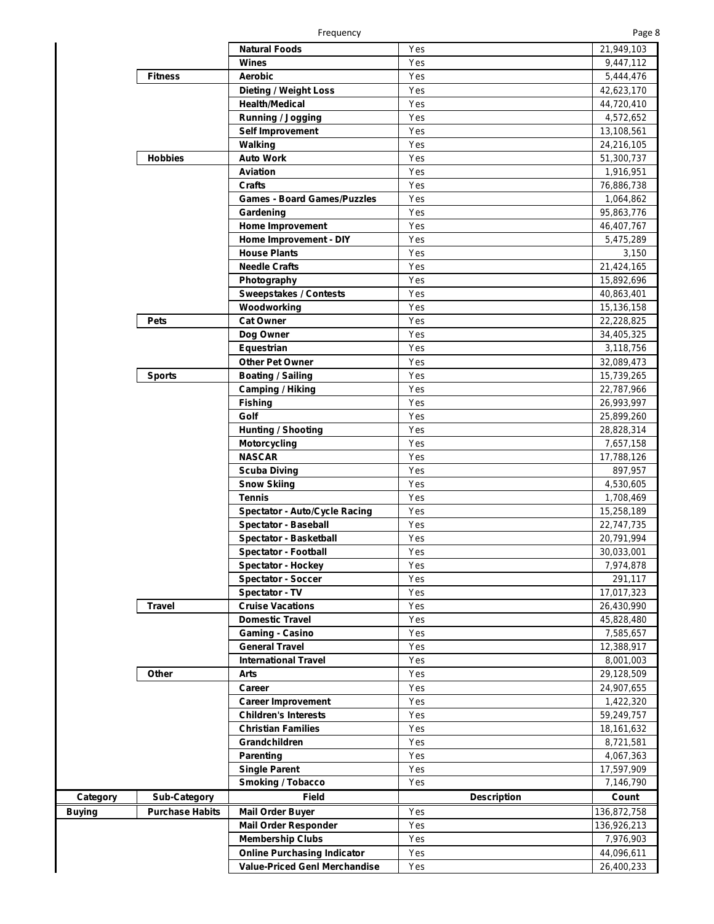|--|--|--|--|

|          |                        | Frequency                            |                    | Page 8       |
|----------|------------------------|--------------------------------------|--------------------|--------------|
|          |                        | Natural Foods                        | Yes                | 21,949,103   |
|          |                        | Wines                                | Yes                | 9,447,112    |
|          | <b>Fitness</b>         | <b>Aerobic</b>                       | Yes                | 5,444,476    |
|          |                        | <b>Dieting / Weight Loss</b>         | Yes                | 42,623,170   |
|          |                        | <b>Health/Medical</b>                | Yes                | 44,720,410   |
|          |                        | <b>Running / Jogging</b>             | Yes                | 4,572,652    |
|          |                        | Self Improvement                     | Yes                | 13,108,561   |
|          |                        | Walking                              | Yes                | 24,216,105   |
|          | <b>Hobbies</b>         | <b>Auto Work</b>                     | Yes                | 51,300,737   |
|          |                        | <b>Aviation</b>                      | Yes                | 1,916,951    |
|          |                        | <b>Crafts</b>                        | Yes                |              |
|          |                        | <b>Games - Board Games/Puzzles</b>   | Yes                | 76,886,738   |
|          |                        |                                      |                    | 1,064,862    |
|          |                        | Gardening                            | Yes                | 95,863,776   |
|          |                        | <b>Home Improvement</b>              | Yes                | 46,407,767   |
|          |                        | Home Improvement - DIY               | Yes                | 5,475,289    |
|          |                        | <b>House Plants</b>                  | Yes                | 3,150        |
|          |                        | <b>Needle Crafts</b>                 | Yes                | 21,424,165   |
|          |                        | Photography                          | Yes                | 15,892,696   |
|          |                        | <b>Sweepstakes / Contests</b>        | Yes                | 40,863,401   |
|          |                        | Woodworking                          | Yes                | 15,136,158   |
|          | <b>Pets</b>            | <b>Cat Owner</b>                     | Yes                | 22,228,825   |
|          |                        | Dog Owner                            | Yes                | 34,405,325   |
|          |                        | Equestrian                           | Yes                | 3,118,756    |
|          |                        | <b>Other Pet Owner</b>               | Yes                | 32,089,473   |
|          | <b>Sports</b>          | <b>Boating / Sailing</b>             | Yes                | 15,739,265   |
|          |                        | <b>Camping / Hiking</b>              | Yes                | 22,787,966   |
|          |                        | <b>Fishing</b>                       | Yes                | 26,993,997   |
|          |                        | Golf                                 | Yes                | 25,899,260   |
|          |                        | <b>Hunting / Shooting</b>            | Yes                | 28,828,314   |
|          |                        | <b>Motorcycling</b>                  | Yes                | 7,657,158    |
|          |                        | <b>NASCAR</b>                        | Yes                | 17,788,126   |
|          |                        | <b>Scuba Diving</b>                  | Yes                | 897,957      |
|          |                        | <b>Snow Skiing</b>                   | Yes                | 4,530,605    |
|          |                        | <b>Tennis</b>                        | Yes                | 1,708,469    |
|          |                        | <b>Spectator - Auto/Cycle Racing</b> | Yes                | 15,258,189   |
|          |                        | <b>Spectator - Baseball</b>          | Yes                | 22,747,735   |
|          |                        | Spectator - Basketball               | Yes                | 20,791,994   |
|          |                        | <b>Spectator - Football</b>          | Yes                | 30,033,001   |
|          |                        | <b>Spectator - Hockey</b>            | Yes                | 7,974,878    |
|          |                        | <b>Spectator - Soccer</b>            | Yes                | 291,117      |
|          |                        | Spectator - TV                       | Yes                |              |
|          | <b>Travel</b>          | <b>Cruise Vacations</b>              | Yes                | 17,017,323   |
|          |                        |                                      | Yes                | 26,430,990   |
|          |                        | <b>Domestic Travel</b>               | Yes                | 45,828,480   |
|          |                        | <b>Gaming - Casino</b>               |                    | 7,585,657    |
|          |                        | <b>General Travel</b>                | Yes                | 12,388,917   |
|          |                        | <b>International Travel</b>          | Yes                | 8,001,003    |
|          | Other                  | Arts                                 | Yes                | 29,128,509   |
|          |                        | Career                               | Yes                | 24,907,655   |
|          |                        | <b>Career Improvement</b>            | Yes                | 1,422,320    |
|          |                        | <b>Children's Interests</b>          | Yes                | 59,249,757   |
|          |                        | <b>Christian Families</b>            | Yes                | 18, 161, 632 |
|          |                        | Grandchildren                        | Yes                | 8,721,581    |
|          |                        | Parenting                            | Yes                | 4,067,363    |
|          |                        | <b>Single Parent</b>                 | Yes                | 17,597,909   |
|          |                        | <b>Smoking / Tobacco</b>             | Yes                | 7,146,790    |
| Category | <b>Sub-Category</b>    | Field                                | <b>Description</b> | Count        |
| Buying   | <b>Purchase Habits</b> | <b>Mail Order Buyer</b>              | Yes                | 136,872,758  |
|          |                        | <b>Mail Order Responder</b>          | Yes                | 136,926,213  |
|          |                        | <b>Membership Clubs</b>              | Yes                | 7,976,903    |
|          |                        | <b>Online Purchasing Indicator</b>   | Yes                | 44,096,611   |
|          |                        | <b>Value-Priced Genl Merchandise</b> | Yes                | 26,400,233   |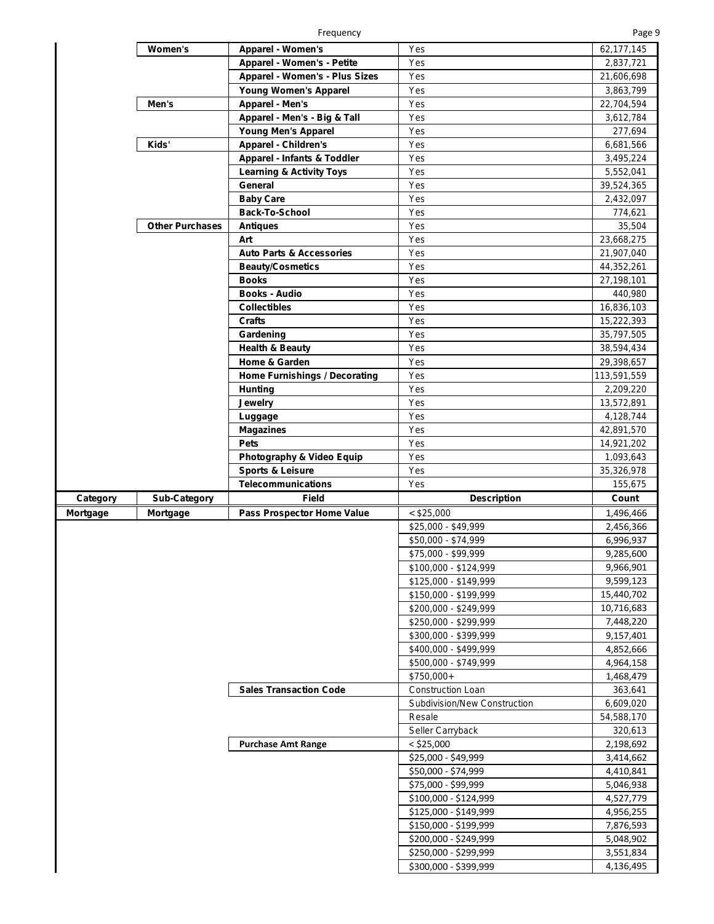Frequency

|--|--|--|--|

|          | Women's                | Apparel - Women's                    | Yes                                            | 62,177,145             |
|----------|------------------------|--------------------------------------|------------------------------------------------|------------------------|
|          |                        | <b>Apparel - Women's - Petite</b>    | Yes                                            | 2,837,721              |
|          |                        | Apparel - Women's - Plus Sizes       | Yes                                            | 21,606,698             |
|          |                        | <b>Young Women's Apparel</b>         | Yes                                            | 3,863,799              |
|          | Men's                  | Apparel - Men's                      | Yes                                            | 22,704,594             |
|          |                        | Apparel - Men's - Big & Tall         | Yes                                            | 3,612,784              |
|          |                        | Young Men's Apparel                  | Yes                                            | 277,694                |
|          | Kids'                  | <b>Apparel - Children's</b>          | Yes                                            | 6,681,566              |
|          |                        | Apparel - Infants & Toddler          | Yes                                            | 3,495,224              |
|          |                        | <b>Learning &amp; Activity Toys</b>  | Yes                                            | 5,552,041              |
|          |                        | General                              | Yes                                            |                        |
|          |                        |                                      |                                                | 39,524,365             |
|          |                        | <b>Baby Care</b>                     | Yes                                            | 2,432,097              |
|          |                        | <b>Back-To-School</b>                | Yes                                            | 774,621                |
|          | <b>Other Purchases</b> | <b>Antiques</b>                      | Yes                                            | 35,504                 |
|          |                        | Art                                  | Yes                                            | 23,668,275             |
|          |                        | <b>Auto Parts &amp; Accessories</b>  | Yes                                            | 21,907,040             |
|          |                        | <b>Beauty/Cosmetics</b>              | Yes                                            | 44,352,261             |
|          |                        | <b>Books</b>                         | Yes                                            | 27,198,101             |
|          |                        | <b>Books - Audio</b>                 | Yes                                            | 440,980                |
|          |                        | <b>Collectibles</b>                  | Yes                                            | 16,836,103             |
|          |                        | <b>Crafts</b>                        | Yes                                            | 15,222,393             |
|          |                        | Gardening                            | Yes                                            | 35,797,505             |
|          |                        | <b>Health &amp; Beauty</b>           | Yes                                            | 38,594,434             |
|          |                        | Home & Garden                        | Yes                                            | 29,398,657             |
|          |                        | <b>Home Furnishings / Decorating</b> | Yes                                            | 113,591,559            |
|          |                        | <b>Hunting</b>                       | Yes                                            | 2,209,220              |
|          |                        | Jewelry                              | Yes                                            | 13,572,891             |
|          |                        | Luggage                              | Yes                                            | 4,128,744              |
|          |                        | <b>Magazines</b>                     | Yes                                            | 42,891,570             |
|          |                        | <b>Pets</b>                          | Yes                                            | 14,921,202             |
|          |                        | Photography & Video Equip            | Yes                                            | 1,093,643              |
|          |                        | <b>Sports &amp; Leisure</b>          | Yes                                            | 35,326,978             |
|          |                        | <b>Telecommunications</b>            | Yes                                            | 155,675                |
| Category | <b>Sub-Category</b>    | <b>Field</b>                         | <b>Description</b>                             | Count                  |
|          |                        |                                      |                                                |                        |
| Mortgage | Mortgage               | Pass Prospector Home Value           | $<$ \$25,000                                   | 1,496,466              |
|          |                        |                                      | \$25,000 - \$49,999                            | 2,456,366              |
|          |                        |                                      | \$50,000 - \$74,999                            | 6,996,937              |
|          |                        |                                      | \$75,000 - \$99,999                            | 9,285,600              |
|          |                        |                                      | $$100,000 - $124,999$                          | 9,966,901              |
|          |                        |                                      | \$125,000 - \$149,999                          | 9,599,123              |
|          |                        |                                      | \$150,000 - \$199,999                          | 15,440,702             |
|          |                        |                                      | \$200,000 - \$249,999                          | 10,716,683             |
|          |                        |                                      | \$250,000 - \$299,999                          | 7,448,220              |
|          |                        |                                      | \$300,000 - \$399,999                          | 9,157,401              |
|          |                        |                                      | \$400,000 - \$499,999                          | 4,852,666              |
|          |                        |                                      | \$500,000 - \$749,999                          | 4,964,158              |
|          |                        |                                      | \$750,000+                                     | 1,468,479              |
|          |                        | <b>Sales Transaction Code</b>        | Construction Loan                              | 363,641                |
|          |                        |                                      | Subdivision/New Construction                   | 6,609,020              |
|          |                        |                                      | Resale                                         | 54,588,170             |
|          |                        |                                      | Seller Carryback                               | 320,613                |
|          |                        | <b>Purchase Amt Range</b>            | $<$ \$25,000                                   | 2,198,692              |
|          |                        |                                      | \$25,000 - \$49,999                            | 3,414,662              |
|          |                        |                                      | \$50,000 - \$74,999                            | 4,410,841              |
|          |                        |                                      | \$75,000 - \$99,999                            | 5,046,938              |
|          |                        |                                      | \$100,000 - \$124,999                          | 4,527,779              |
|          |                        |                                      | $$125,000 - $149,999$                          | 4,956,255              |
|          |                        |                                      | \$150,000 - \$199,999                          | 7,876,593              |
|          |                        |                                      |                                                | 5,048,902              |
|          |                        |                                      |                                                |                        |
|          |                        |                                      | \$200,000 - \$249,999                          |                        |
|          |                        |                                      | \$250,000 - \$299,999<br>\$300,000 - \$399,999 | 3,551,834<br>4,136,495 |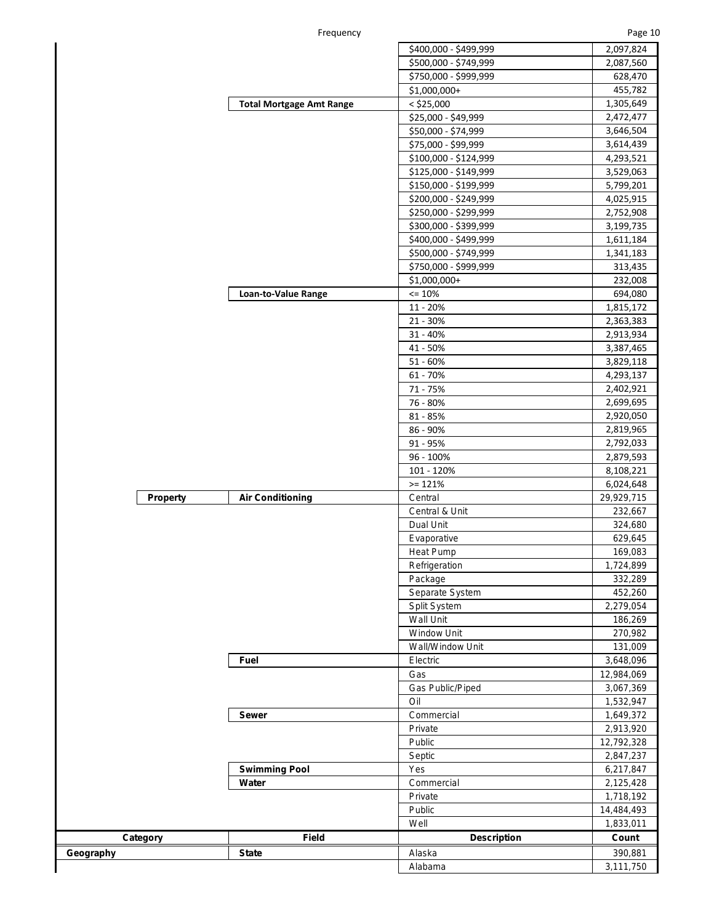Frequency **Page 10** 

|                 |                                 | \$400,000 - \$499,999 | 2,097,824  |
|-----------------|---------------------------------|-----------------------|------------|
|                 |                                 | \$500,000 - \$749,999 | 2,087,560  |
|                 |                                 | \$750,000 - \$999,999 | 628,470    |
|                 |                                 | \$1,000,000+          | 455,782    |
|                 | <b>Total Mortgage Amt Range</b> | $<$ \$25,000          | 1,305,649  |
|                 |                                 | \$25,000 - \$49,999   | 2,472,477  |
|                 |                                 | \$50,000 - \$74,999   | 3,646,504  |
|                 |                                 | \$75,000 - \$99,999   | 3,614,439  |
|                 |                                 | \$100,000 - \$124,999 | 4,293,521  |
|                 |                                 | \$125,000 - \$149,999 | 3,529,063  |
|                 |                                 | \$150,000 - \$199,999 | 5,799,201  |
|                 |                                 | \$200,000 - \$249,999 | 4,025,915  |
|                 |                                 | \$250,000 - \$299,999 | 2,752,908  |
|                 |                                 | \$300,000 - \$399,999 | 3,199,735  |
|                 |                                 | \$400,000 - \$499,999 | 1,611,184  |
|                 |                                 |                       |            |
|                 |                                 | \$500,000 - \$749,999 | 1,341,183  |
|                 |                                 | \$750,000 - \$999,999 | 313,435    |
|                 |                                 | \$1,000,000+          | 232,008    |
|                 | Loan-to-Value Range             | $\leq 10\%$           | 694,080    |
|                 |                                 | 11 - 20%              | 1,815,172  |
|                 |                                 | $21 - 30%$            | 2,363,383  |
|                 |                                 | $31 - 40%$            | 2,913,934  |
|                 |                                 | 41 - 50%              | 3,387,465  |
|                 |                                 | $51 - 60%$            | 3,829,118  |
|                 |                                 | 61 - 70%              | 4,293,137  |
|                 |                                 | 71 - 75%              | 2,402,921  |
|                 |                                 | 76 - 80%              | 2,699,695  |
|                 |                                 | 81 - 85%              | 2,920,050  |
|                 |                                 | 86 - 90%              | 2,819,965  |
|                 |                                 | 91 - 95%              | 2,792,033  |
|                 |                                 | 96 - 100%             | 2,879,593  |
|                 |                                 | 101 - 120%            | 8,108,221  |
|                 |                                 | $>= 121%$             | 6,024,648  |
| <b>Property</b> | <b>Air Conditioning</b>         | Central               | 29,929,715 |
|                 |                                 | Central & Unit        | 232,667    |
|                 |                                 | Dual Unit             | 324,680    |
|                 |                                 | Evaporative           | 629,645    |
|                 |                                 | <b>Heat Pump</b>      | 169,083    |
|                 |                                 | Refrigeration         | 1,724,899  |
|                 |                                 | Package               | 332,289    |
|                 |                                 | Separate System       | 452,260    |
|                 |                                 | <b>Split System</b>   | 2,279,054  |
|                 |                                 | <b>Wall Unit</b>      | 186,269    |
|                 |                                 | <b>Window Unit</b>    | 270,982    |
|                 |                                 | Wall/Window Unit      |            |
|                 |                                 |                       | 131,009    |
|                 | Fuel                            | Electric              | 3,648,096  |
|                 |                                 | Gas                   | 12,984,069 |
|                 |                                 | Gas Public/Piped      | 3,067,369  |
|                 |                                 | Oil                   | 1,532,947  |
|                 | <b>Sewer</b>                    | Commercial            | 1,649,372  |
|                 |                                 | Private               | 2,913,920  |
|                 |                                 | Public                | 12,792,328 |
|                 |                                 | Septic                | 2,847,237  |
|                 | <b>Swimming Pool</b>            | Yes                   | 6,217,847  |
|                 | Water                           | Commercial            | 2,125,428  |
|                 |                                 | Private               | 1,718,192  |
|                 |                                 | Public                | 14,484,493 |
|                 |                                 | Well                  | 1,833,011  |
| Category        | Field                           | <b>Description</b>    | Count      |
|                 | <b>State</b>                    | Alaska                | 390,881    |
|                 |                                 | Alabama               | 3,111,750  |
|                 |                                 |                       |            |

**Geography**